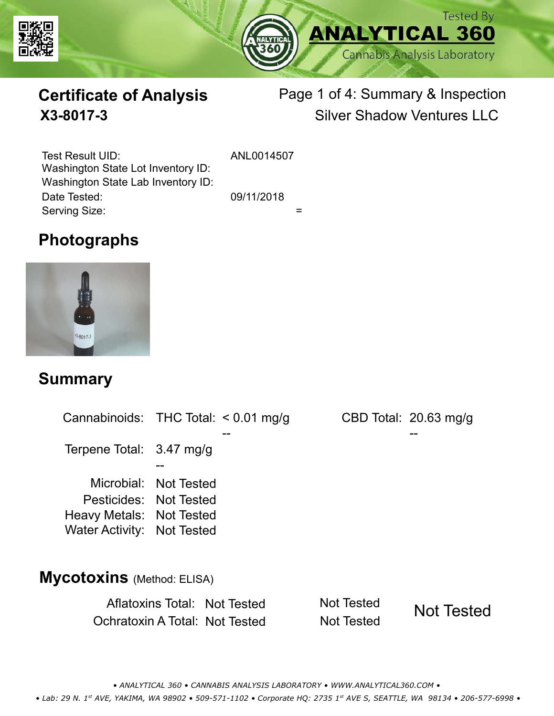



# **Certificate of Analysis**

# Page 1 of 4: Summary & Inspection **X3-8017-3** Silver Shadow Ventures LLC

Serving Size:  $=$ Test Result UID: ANL0014507 Date Tested: 09/11/2018 Washington State Lot Inventory ID: Washington State Lab Inventory ID:

## **Photographs**



### **Summary**

Cannabinoids: THC Total:  $< 0.01$  mg/g Terpene Total: Microbial: Not Tested CBD Total: 20.63 mg/g 3.47 mg/g Pesticides: Not Tested Heavy Metals: Not Tested -- -- -- Water Activity: Not Tested **Mycotoxins** (Method: ELISA)

> Aflatoxins Total: Not Tested Not Tested Ochratoxin A Total: Not Tested Not Tested Not Tested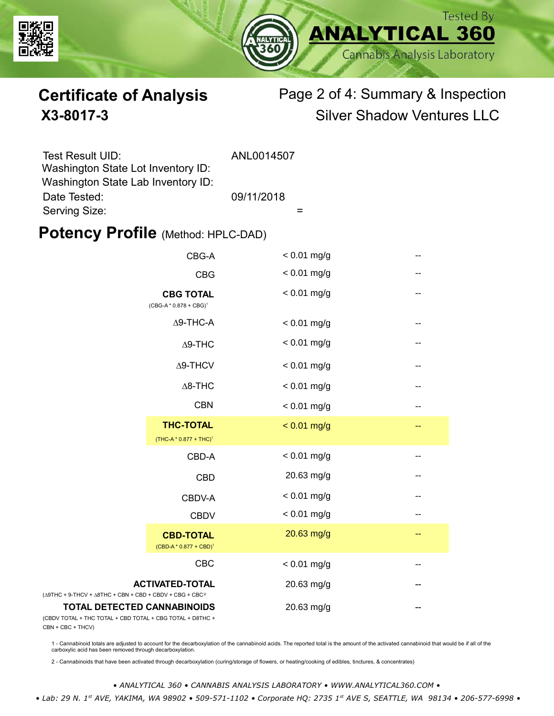



# **Certificate of Analysis** Page 2 of 4: Summary & Inspection **X3-8017-3** Silver Shadow Ventures LLC

| Test Result UID:                   | ANL0014507 |
|------------------------------------|------------|
| Washington State Lot Inventory ID: |            |
| Washington State Lab Inventory ID: |            |
| Date Tested:                       | 09/11/2018 |
| Serving Size:                      |            |

### **Potency Profile (Method: HPLC-DAD)**

|                                                                                           | CBG-A                                                  | $< 0.01$ mg/g | --                       |
|-------------------------------------------------------------------------------------------|--------------------------------------------------------|---------------|--------------------------|
|                                                                                           | <b>CBG</b>                                             | $< 0.01$ mg/g | --                       |
| <b>CBG TOTAL</b><br>$(CBG-A * 0.878 + CBG)^1$                                             |                                                        | $< 0.01$ mg/g | $-$                      |
|                                                                                           | $\Delta$ 9-THC-A                                       | $< 0.01$ mg/g | $\overline{\phantom{m}}$ |
|                                                                                           | $\Delta$ 9-THC                                         | $< 0.01$ mg/g | --                       |
|                                                                                           | Δ9-THCV                                                | $< 0.01$ mg/g | --                       |
|                                                                                           | $\Delta$ 8-THC                                         | $< 0.01$ mg/g | --                       |
|                                                                                           | <b>CBN</b>                                             | $< 0.01$ mg/g | --                       |
|                                                                                           | <b>THC-TOTAL</b><br>(THC-A * 0.877 + THC) <sup>1</sup> | $< 0.01$ mg/g | --                       |
|                                                                                           | CBD-A                                                  | $< 0.01$ mg/g | --                       |
|                                                                                           | <b>CBD</b>                                             | 20.63 mg/g    | --                       |
|                                                                                           | CBDV-A                                                 | $< 0.01$ mg/g | --                       |
|                                                                                           | <b>CBDV</b>                                            | $< 0.01$ mg/g | --                       |
|                                                                                           | <b>CBD-TOTAL</b><br>$(CBD-A * 0.877 + CBD)^1$          | 20.63 mg/g    | --                       |
|                                                                                           | <b>CBC</b>                                             | $< 0.01$ mg/g |                          |
| + 9-THCV + $\triangle$ 8THC + CBN + CBD + CBDV + CBG + CBC <sup><math>/2</math></sup>     | <b>ACTIVATED-TOTAL</b>                                 | 20.63 mg/g    |                          |
| <b>TOTAL DETECTED CANNABINOIDS</b><br>TOTAL + THC TOTAL + CBD TOTAL + CBG TOTAL + D8THC + |                                                        | 20.63 mg/g    |                          |

(CBDV TOTAL + THC TOTAL CBN + CBC + THCV)

(∆9THC + 9-THCV + ∆8THC

1 - Cannabinoid totals are adjusted to account for the decarboxylation of the cannabinoid acids. The reported total is the amount of the activated cannabinoid that would be if all of the<br>carboxylic acid has been removed th

2 - Cannabinoids that have been activated through decarboxylation (curing/storage of flowers, or heating/cooking of edibles, tinctures, & concentrates)

*• ANALYTICAL 360 • CANNABIS ANALYSIS LABORATORY • WWW.ANALYTICAL360.COM •*

 *• Lab: 29 N. 1st AVE, YAKIMA, WA 98902 • 509-571-1102 • Corporate HQ: 2735 1st AVE S, SEATTLE, WA 98134 • 206-577-6998 •*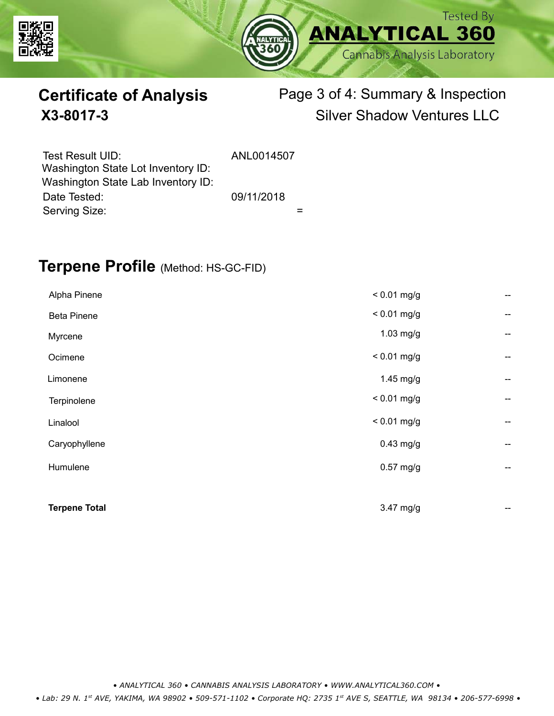



# **Certificate of Analysis** Page 3 of 4: Summary & Inspection **X3-8017-3** Silver Shadow Ventures LLC

| Test Result UID:<br>Washington State Lot Inventory ID: | ANL0014507 |  |
|--------------------------------------------------------|------------|--|
| Washington State Lab Inventory ID:                     |            |  |
| Date Tested:                                           | 09/11/2018 |  |
| Serving Size:                                          |            |  |

### **Terpene Profile** (Method: HS-GC-FID)

| Alpha Pinene         | $< 0.01$ mg/g | --                       |
|----------------------|---------------|--------------------------|
| <b>Beta Pinene</b>   | $< 0.01$ mg/g | --                       |
| Myrcene              | 1.03 mg/g     | --                       |
| Ocimene              | $< 0.01$ mg/g | --                       |
| Limonene             | $1.45$ mg/g   | --                       |
| Terpinolene          | $< 0.01$ mg/g | --                       |
| Linalool             | $< 0.01$ mg/g | --                       |
| Caryophyllene        | $0.43$ mg/g   | $\overline{\phantom{a}}$ |
| Humulene             | $0.57$ mg/g   | --                       |
|                      |               |                          |
| <b>Terpene Total</b> | 3.47 mg/g     | --                       |